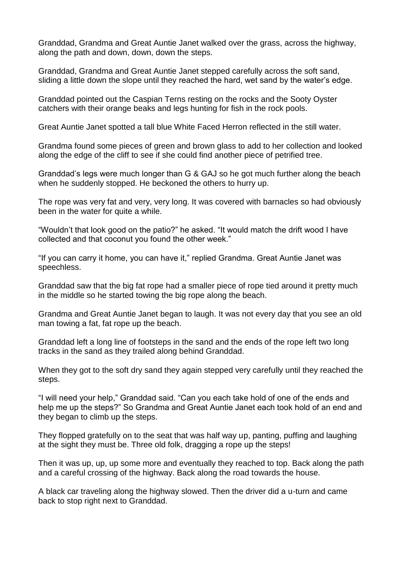Granddad, Grandma and Great Auntie Janet walked over the grass, across the highway, along the path and down, down, down the steps.

Granddad, Grandma and Great Auntie Janet stepped carefully across the soft sand, sliding a little down the slope until they reached the hard, wet sand by the water's edge.

Granddad pointed out the Caspian Terns resting on the rocks and the Sooty Oyster catchers with their orange beaks and legs hunting for fish in the rock pools.

Great Auntie Janet spotted a tall blue White Faced Herron reflected in the still water.

Grandma found some pieces of green and brown glass to add to her collection and looked along the edge of the cliff to see if she could find another piece of petrified tree.

Granddad's legs were much longer than G & GAJ so he got much further along the beach when he suddenly stopped. He beckoned the others to hurry up.

The rope was very fat and very, very long. It was covered with barnacles so had obviously been in the water for quite a while.

"Wouldn't that look good on the patio?" he asked. "It would match the drift wood I have collected and that coconut you found the other week."

"If you can carry it home, you can have it," replied Grandma. Great Auntie Janet was speechless.

Granddad saw that the big fat rope had a smaller piece of rope tied around it pretty much in the middle so he started towing the big rope along the beach.

Grandma and Great Auntie Janet began to laugh. It was not every day that you see an old man towing a fat, fat rope up the beach.

Granddad left a long line of footsteps in the sand and the ends of the rope left two long tracks in the sand as they trailed along behind Granddad.

When they got to the soft dry sand they again stepped very carefully until they reached the steps.

"I will need your help," Granddad said. "Can you each take hold of one of the ends and help me up the steps?" So Grandma and Great Auntie Janet each took hold of an end and they began to climb up the steps.

They flopped gratefully on to the seat that was half way up, panting, puffing and laughing at the sight they must be. Three old folk, dragging a rope up the steps!

Then it was up, up, up some more and eventually they reached to top. Back along the path and a careful crossing of the highway. Back along the road towards the house.

A black car traveling along the highway slowed. Then the driver did a u-turn and came back to stop right next to Granddad.